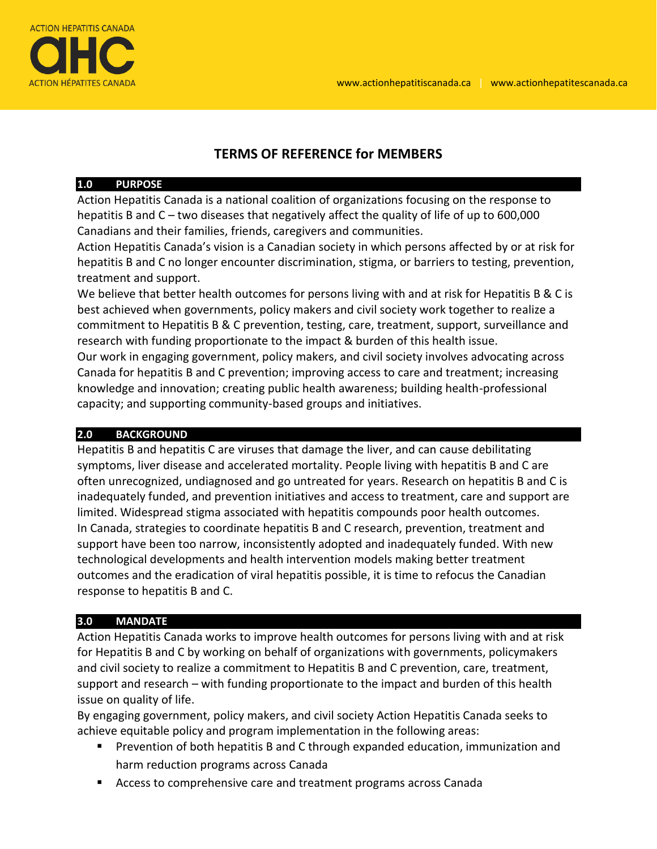

# **TERMS OF REFERENCE for MEMBERS**

#### **1.0 PURPOSE**

Action Hepatitis Canada is a national coalition of organizations focusing on the response to hepatitis B and C – two diseases that negatively affect the quality of life of up to 600,000 Canadians and their families, friends, caregivers and communities.

Action Hepatitis Canada's vision is a Canadian society in which persons affected by or at risk for hepatitis B and C no longer encounter discrimination, stigma, or barriers to testing, prevention, treatment and support.

We believe that better health outcomes for persons living with and at risk for Hepatitis B & C is best achieved when governments, policy makers and civil society work together to realize a commitment to Hepatitis B & C prevention, testing, care, treatment, support, surveillance and research with funding proportionate to the impact & burden of this health issue.

Our work in engaging government, policy makers, and civil society involves advocating across Canada for hepatitis B and C prevention; improving access to care and treatment; increasing knowledge and innovation; creating public health awareness; building health-professional capacity; and supporting community-based groups and initiatives.

## **2.0 BACKGROUND**

Hepatitis B and hepatitis C are viruses that damage the liver, and can cause debilitating symptoms, liver disease and accelerated mortality. People living with hepatitis B and C are often unrecognized, undiagnosed and go untreated for years. Research on hepatitis B and C is inadequately funded, and prevention initiatives and access to treatment, care and support are limited. Widespread stigma associated with hepatitis compounds poor health outcomes. In Canada, strategies to coordinate hepatitis B and C research, prevention, treatment and support have been too narrow, inconsistently adopted and inadequately funded. With new technological developments and health intervention models making better treatment outcomes and the eradication of viral hepatitis possible, it is time to refocus the Canadian response to hepatitis B and C.

## **3.0 MANDATE**

Action Hepatitis Canada works to improve health outcomes for persons living with and at risk for Hepatitis B and C by working on behalf of organizations with governments, policymakers and civil society to realize a commitment to Hepatitis B and C prevention, care, treatment, support and research – with funding proportionate to the impact and burden of this health issue on quality of life.

By engaging government, policy makers, and civil society Action Hepatitis Canada seeks to achieve equitable policy and program implementation in the following areas:

- **Prevention of both hepatitis B and C through expanded education, immunization and** harm reduction programs across Canada
- Access to comprehensive care and treatment programs across Canada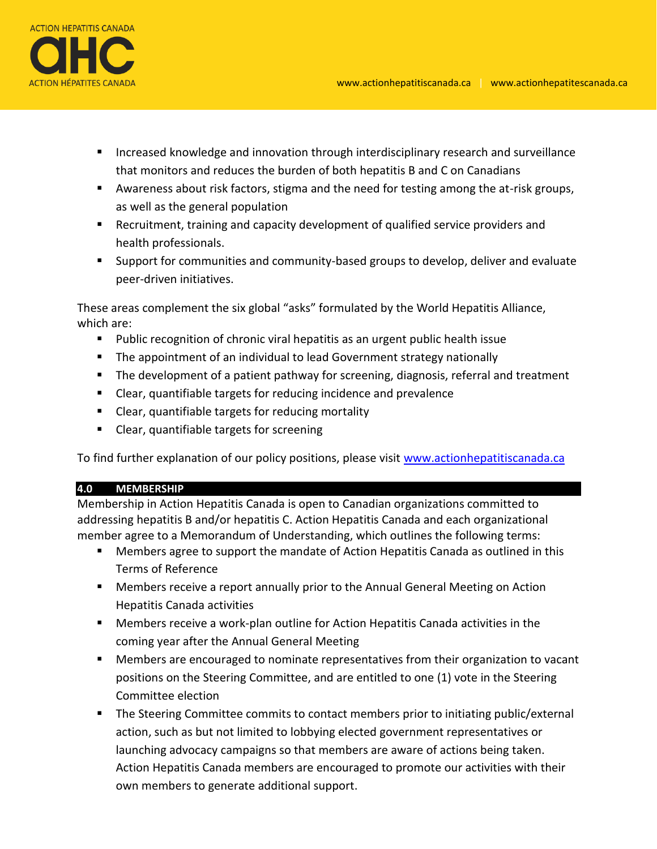

- **Increased knowledge and innovation through interdisciplinary research and surveillance** that monitors and reduces the burden of both hepatitis B and C on Canadians
- Awareness about risk factors, stigma and the need for testing among the at-risk groups, as well as the general population
- Recruitment, training and capacity development of qualified service providers and health professionals.
- Support for communities and community-based groups to develop, deliver and evaluate peer-driven initiatives.

These areas complement the six global "asks" formulated by the World Hepatitis Alliance, which are:

- Public recognition of chronic viral hepatitis as an urgent public health issue
- The appointment of an individual to lead Government strategy nationally
- **The development of a patient pathway for screening, diagnosis, referral and treatment**
- Clear, quantifiable targets for reducing incidence and prevalence
- Clear, quantifiable targets for reducing mortality
- Clear, quantifiable targets for screening

To find further explanation of our policy positions, please visit [www.actionhepatitiscanada.ca](http://www.actionhepatitiscanada.ca/)

## **4.0 MEMBERSHIP**

Membership in Action Hepatitis Canada is open to Canadian organizations committed to addressing hepatitis B and/or hepatitis C. Action Hepatitis Canada and each organizational member agree to a Memorandum of Understanding, which outlines the following terms:

- Members agree to support the mandate of Action Hepatitis Canada as outlined in this Terms of Reference
- Members receive a report annually prior to the Annual General Meeting on Action Hepatitis Canada activities
- Members receive a work-plan outline for Action Hepatitis Canada activities in the coming year after the Annual General Meeting
- Members are encouraged to nominate representatives from their organization to vacant positions on the Steering Committee, and are entitled to one (1) vote in the Steering Committee election
- The Steering Committee commits to contact members prior to initiating public/external action, such as but not limited to lobbying elected government representatives or launching advocacy campaigns so that members are aware of actions being taken. Action Hepatitis Canada members are encouraged to promote our activities with their own members to generate additional support.